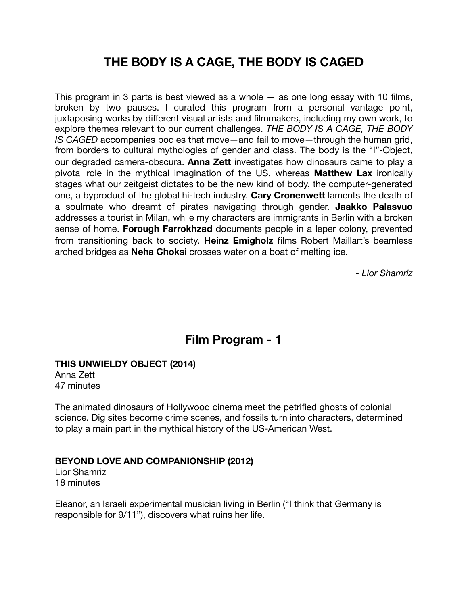# **THE BODY IS A CAGE, THE BODY IS CAGED**

This program in 3 parts is best viewed as a whole  $-$  as one long essay with 10 films, broken by two pauses. I curated this program from a personal vantage point, juxtaposing works by different visual artists and filmmakers, including my own work, to explore themes relevant to our current challenges. *THE BODY IS A CAGE, THE BODY IS CAGED* accompanies bodies that move—and fail to move—through the human grid, from borders to cultural mythologies of gender and class. The body is the "I"-Object, our degraded camera-obscura. **Anna Zett** investigates how dinosaurs came to play a pivotal role in the mythical imagination of the US, whereas **Matthew Lax** ironically stages what our zeitgeist dictates to be the new kind of body, the computer-generated one, a byproduct of the global hi-tech industry. **Cary Cronenwett** laments the death of a soulmate who dreamt of pirates navigating through gender. **Jaakko Palasvuo**  addresses a tourist in Milan, while my characters are immigrants in Berlin with a broken sense of home. **Forough Farrokhzad** documents people in a leper colony, prevented from transitioning back to society. **Heinz Emigholz** films Robert Maillart's beamless arched bridges as **Neha Choksi** crosses water on a boat of melting ice.

*- Lior Shamriz* 

## **Film Program - 1**

### **THIS UNWIELDY OBJECT (2014)**

Anna Zett 47 minutes

The animated dinosaurs of Hollywood cinema meet the petrified ghosts of colonial science. Dig sites become crime scenes, and fossils turn into characters, determined to play a main part in the mythical history of the US-American West.

### **BEYOND LOVE AND COMPANIONSHIP (2012)**

Lior Shamriz 18 minutes

Eleanor, an Israeli experimental musician living in Berlin ("I think that Germany is responsible for 9/11"), discovers what ruins her life.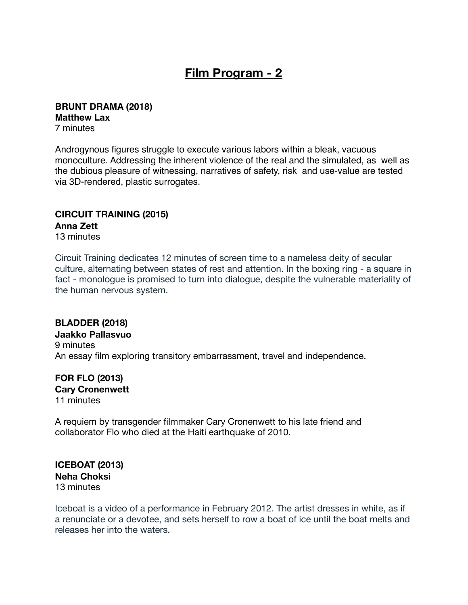## **Film Program - 2**

## **BRUNT DRAMA (2018) Matthew Lax**

7 minutes

Androgynous figures struggle to execute various labors within a bleak, vacuous monoculture. Addressing the inherent violence of the real and the simulated, as well as the dubious pleasure of witnessing, narratives of safety, risk and use-value are tested via 3D-rendered, plastic surrogates.

### **CIRCUIT TRAINING (2015) Anna Zett**

13 minutes

Circuit Training dedicates 12 minutes of screen time to a nameless deity of secular culture, alternating between states of rest and attention. In the boxing ring - a square in fact - monologue is promised to turn into dialogue, despite the vulnerable materiality of the human nervous system.

**BLADDER (2018) Jaakko Pallasvuo** 9 minutes An essay film exploring transitory embarrassment, travel and independence.

#### **FOR FLO (2013) Cary Cronenwett**  11 minutes

A requiem by transgender filmmaker Cary Cronenwett to his late friend and collaborator Flo who died at the Haiti earthquake of 2010.

**ICEBOAT (2013) Neha Choksi**  13 minutes

Iceboat is a video of a performance in February 2012. The artist dresses in white, as if a renunciate or a devotee, and sets herself to row a boat of ice until the boat melts and releases her into the waters.